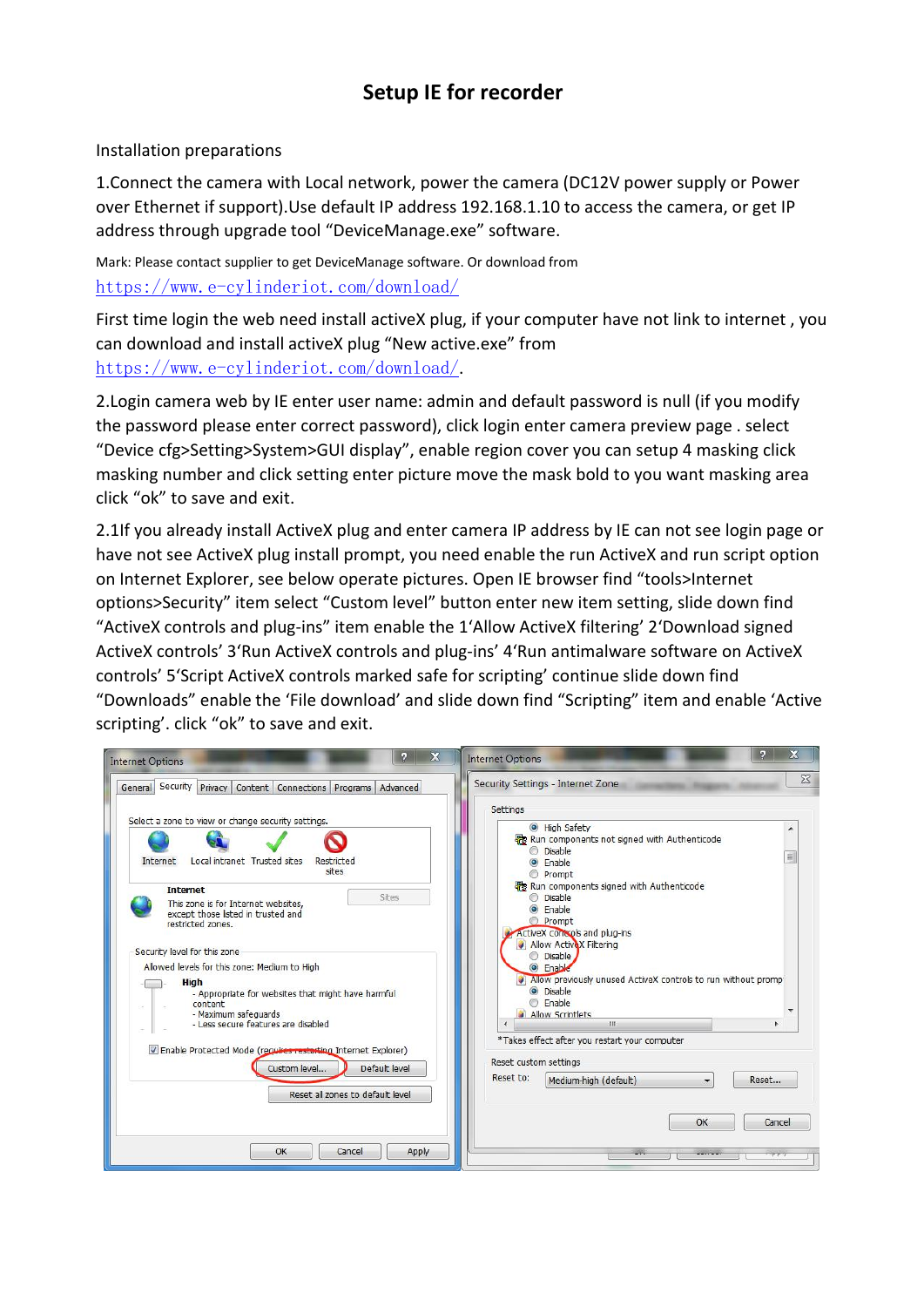## **Setup IE for recorder**

Installation preparations

1.Connect the camera with Local network, power the camera (DC12V power supply or Power over Ethernet if support).Use default IP address 192.168.1.10 to access the camera, or get IP address through upgrade tool "DeviceManage.exe" software.

Mark: Please contact supplier to get DeviceManage software. Or download from <https://www.e-cylinderiot.com/download/>

First time login the web need install activeX plug, if your computer have not link to internet , you can download and install activeX plug "New active.exe" from <https://www.e-cylinderiot.com/download/>.

2.Login camera web by IE enter user name: admin and default password is null (if you modify the password please enter correct password), click login enter camera preview page . select "Device cfg>Setting>System>GUI display", enable region cover you can setup 4 masking click masking number and click setting enter picture move the mask bold to you want masking area click "ok" to save and exit.

2.1If you already install ActiveX plug and enter camera IP address by IE can not see login page or have not see ActiveX plug install prompt, you need enable the run ActiveX and run script option on Internet Explorer, see below operate pictures. Open IE browser find "tools>Internet options>Security" item select "Custom level" button enter new item setting, slide down find "ActiveX controls and plug-ins" item enable the 1'Allow ActiveX filtering' 2'Download signed ActiveX controls' 3'Run ActiveX controls and plug-ins' 4'Run antimalware software on ActiveX controls' 5'Script ActiveX controls marked safe for scripting' continue slide down find "Downloads" enable the 'File download' and slide down find "Scripting" item and enable 'Active scripting'. click "ok" to save and exit.

| $\mathbf{x}$<br>о<br><b>Internet Options</b>                                                                                                          | X<br><b>Internet Options</b>                                                                                                                    |
|-------------------------------------------------------------------------------------------------------------------------------------------------------|-------------------------------------------------------------------------------------------------------------------------------------------------|
| General Security Privacy Content Connections Programs Advanced                                                                                        | $\Sigma$<br>Security Settings - Internet Zone                                                                                                   |
|                                                                                                                                                       | Settings                                                                                                                                        |
| Select a zone to view or change security settings.<br>Local intranet Trusted sites<br><b>Internet</b><br>Restricted<br>sites                          | High Safety<br>Run components not signed with Authenticode<br>Disable<br>릐<br>Enable<br>Prompt                                                  |
| <b>Internet</b><br>Sites<br>This zone is for Internet websites.<br>except those listed in trusted and<br>restricted zones.                            | Run components signed with Authenticode<br>C Disable<br>C Enable<br>Prompt<br>ActiveX controls and plug-ins                                     |
| Security level for this zone<br>Allowed levels for this zone: Medium to High<br>High<br>- Appropriate for websites that might have harmful<br>content | Allow ActiveX Filtering<br><b>Disable</b><br>C Enable<br>Allow previously unused ActiveX controls to run without promp<br>O Disable<br>C Enable |
| - Maximum safeguards<br>- Less secure features are disabled                                                                                           | Allow Scriptlets<br>$\epsilon$<br>311                                                                                                           |
| T Enable Protected Mode (requires restarting Internet Explorer)<br>Default level<br>Custom level<br>Reset all zones to default level                  | *Takes effect after you restart your computer<br>Reset custom settings<br>Reset to:<br>Medium-high (default)<br>Reset                           |
|                                                                                                                                                       | OK<br>Cancel                                                                                                                                    |
| OK<br>Apply<br>Cancel                                                                                                                                 |                                                                                                                                                 |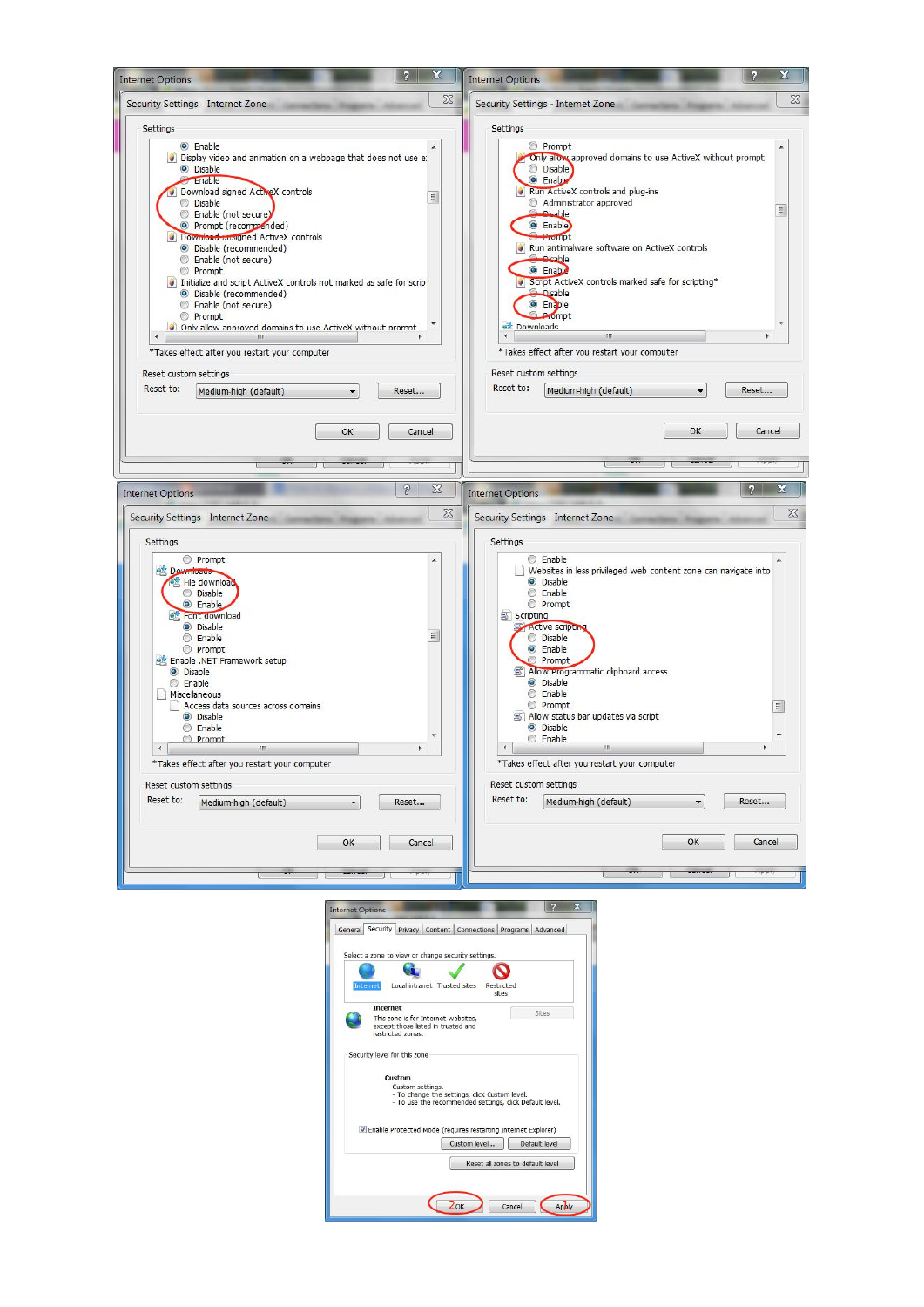

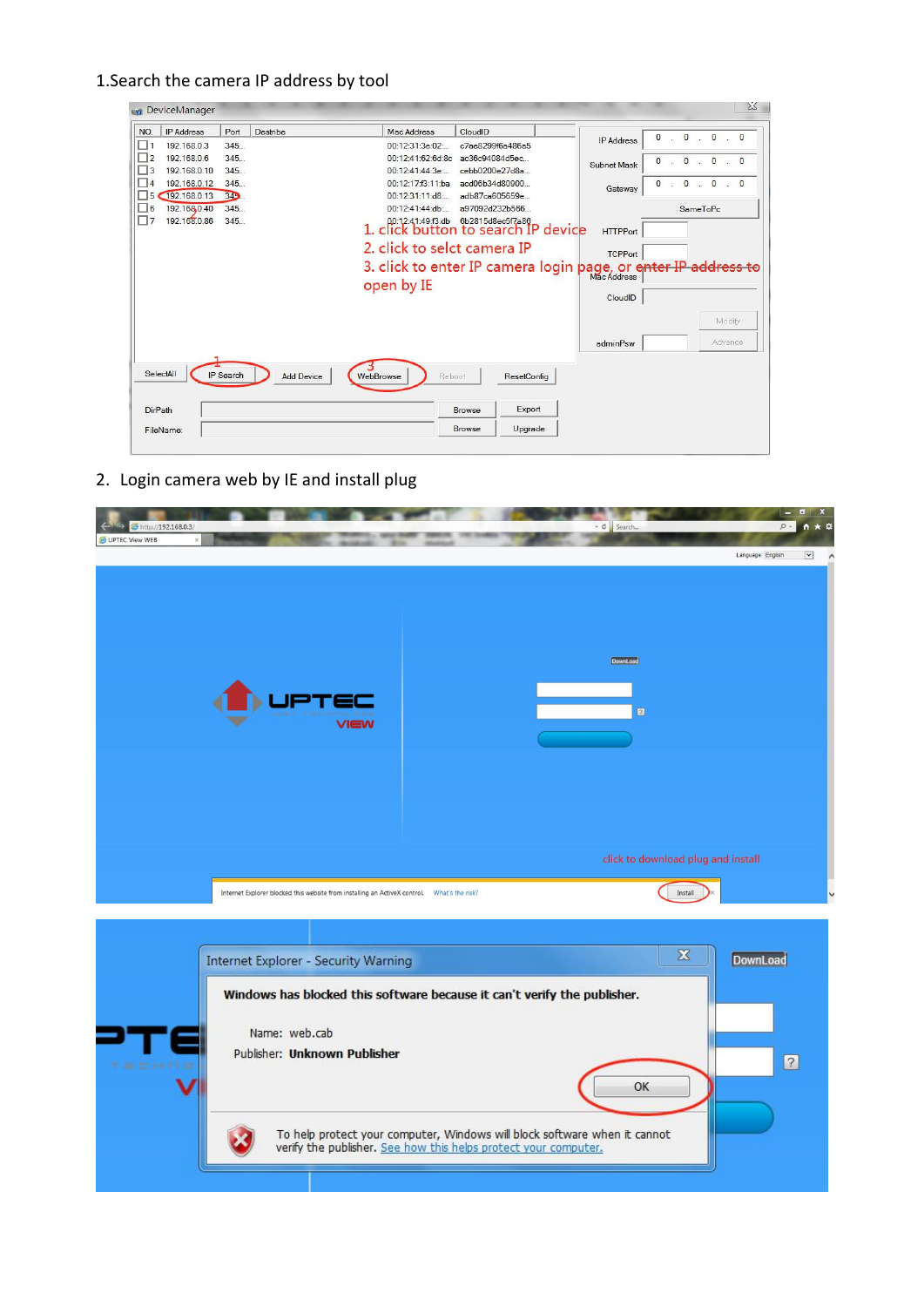## 1.Search the camera IP address by tool

| NO.                                                                                       | <b>IP Address</b>            | Port        | Destribe          | Mac Address                                                                 | CloudID                          |             |                    | $\mathbf 0$            |                 | $0 \cdot 0$ 0 0 |  |
|-------------------------------------------------------------------------------------------|------------------------------|-------------|-------------------|-----------------------------------------------------------------------------|----------------------------------|-------------|--------------------|------------------------|-----------------|-----------------|--|
| ш                                                                                         | 192.168.0.3                  | 345         |                   | 00:12:31:3e:02                                                              | c7ae8299f6a486a5                 |             | <b>IP Address</b>  |                        |                 |                 |  |
| $\overline{ }$                                                                            | 192.168.0.6                  | 345         |                   | 00:12:41:62:6d:8c ac36c94084d5ec                                            |                                  |             | <b>Subnet Mask</b> | $\mathbf{0}$<br>$-150$ |                 | $0 \t 0 \t 0$   |  |
| $\begin{array}{c c} 1 & 3 \end{array}$<br>$\begin{array}{ c c c c c } \hline \end{array}$ | 192.168.0.10                 | 345.        |                   | 00:12:41:44:3e                                                              | cebb0200e27d8a                   |             |                    |                        |                 |                 |  |
| ш<br>5                                                                                    | 192.168.0.12<br>192.168.0.13 | 345<br>345. |                   | 00:12:17:f3:11:ba<br>00:12:31:11:d8:                                        | acd06b34d80900<br>adb87ca605659e |             | Gateway            | $\overline{0}$         |                 | 0 0 0 0         |  |
| $\Box$ 6                                                                                  | 192.168.0.40                 | 345         |                   | 00:12:41:44:db                                                              | a97092d232b566                   |             |                    |                        | <b>SameToPc</b> |                 |  |
| (□7                                                                                       | 192.168.0.86                 | 345         |                   | 1. 00:12:41:49:3:db 6b2815d8ec5f7a86<br>1. click button to search IP device |                                  |             |                    |                        |                 |                 |  |
|                                                                                           |                              |             |                   |                                                                             |                                  |             | <b>HTTPPort</b>    |                        |                 |                 |  |
|                                                                                           |                              |             |                   | 2. click to selct camera IP                                                 |                                  |             | <b>TCPPort</b>     |                        |                 |                 |  |
|                                                                                           |                              |             |                   | 3. click to enter IP camera login page, or enter IP address to              |                                  |             |                    |                        |                 |                 |  |
|                                                                                           |                              |             |                   | open by IE                                                                  |                                  |             |                    |                        |                 |                 |  |
|                                                                                           |                              |             |                   |                                                                             |                                  |             | CloudID            |                        |                 |                 |  |
|                                                                                           |                              |             |                   |                                                                             |                                  |             |                    |                        |                 | Modify          |  |
|                                                                                           |                              |             |                   |                                                                             |                                  |             |                    |                        |                 |                 |  |
|                                                                                           |                              |             |                   |                                                                             |                                  |             | adminPsw           |                        |                 | Advance         |  |
|                                                                                           |                              |             |                   |                                                                             |                                  |             |                    |                        |                 |                 |  |
|                                                                                           | 1                            |             |                   |                                                                             |                                  |             |                    |                        |                 |                 |  |
|                                                                                           | SelectAll                    | IP Search   | <b>Add Device</b> | WebBrowse<br>Reboot                                                         |                                  | ResetConfig |                    |                        |                 |                 |  |
|                                                                                           |                              |             |                   |                                                                             |                                  |             |                    |                        |                 |                 |  |
| <b>DirPath</b>                                                                            |                              |             |                   |                                                                             | <b>Browse</b>                    | Export      |                    |                        |                 |                 |  |

## 2. Login camera web by IE and install plug

| http://192.168.0.3/<br>O UPTEC View WEB |                                                                                                 | ▼ C Search<br>$\rho$ -                                                                                                                    | $A \star \alpha$         |
|-----------------------------------------|-------------------------------------------------------------------------------------------------|-------------------------------------------------------------------------------------------------------------------------------------------|--------------------------|
|                                         |                                                                                                 | Language: English                                                                                                                         | $\overline{\phantom{a}}$ |
|                                         |                                                                                                 |                                                                                                                                           |                          |
|                                         |                                                                                                 |                                                                                                                                           |                          |
|                                         |                                                                                                 | DownLoad                                                                                                                                  |                          |
|                                         |                                                                                                 |                                                                                                                                           |                          |
|                                         |                                                                                                 | $\overline{\mathbf{z}}$                                                                                                                   |                          |
|                                         | ∨l∈w                                                                                            |                                                                                                                                           |                          |
|                                         |                                                                                                 |                                                                                                                                           |                          |
|                                         |                                                                                                 |                                                                                                                                           |                          |
|                                         |                                                                                                 |                                                                                                                                           |                          |
|                                         |                                                                                                 | click to download plug and install                                                                                                        |                          |
|                                         | Internet Explorer blocked this website from installing an ActiveX control.     What's the risk? | Install                                                                                                                                   |                          |
|                                         |                                                                                                 |                                                                                                                                           |                          |
|                                         |                                                                                                 | $\overline{\mathbf{x}}$<br>DownLoad                                                                                                       |                          |
|                                         | <b>Internet Explorer - Security Warning</b>                                                     |                                                                                                                                           |                          |
|                                         | Windows has blocked this software because it can't verify the publisher.                        |                                                                                                                                           |                          |
|                                         | Name: web.cab                                                                                   |                                                                                                                                           |                          |
| <b><i><u>FACHIN</u></i></b>             | Publisher: Unknown Publisher                                                                    |                                                                                                                                           | $\boxed{2}$              |
|                                         |                                                                                                 | OK                                                                                                                                        |                          |
|                                         |                                                                                                 |                                                                                                                                           |                          |
|                                         |                                                                                                 | To help protect your computer, Windows will block software when it cannot verify the publisher. See how this helps protect your computer. |                          |
|                                         |                                                                                                 |                                                                                                                                           |                          |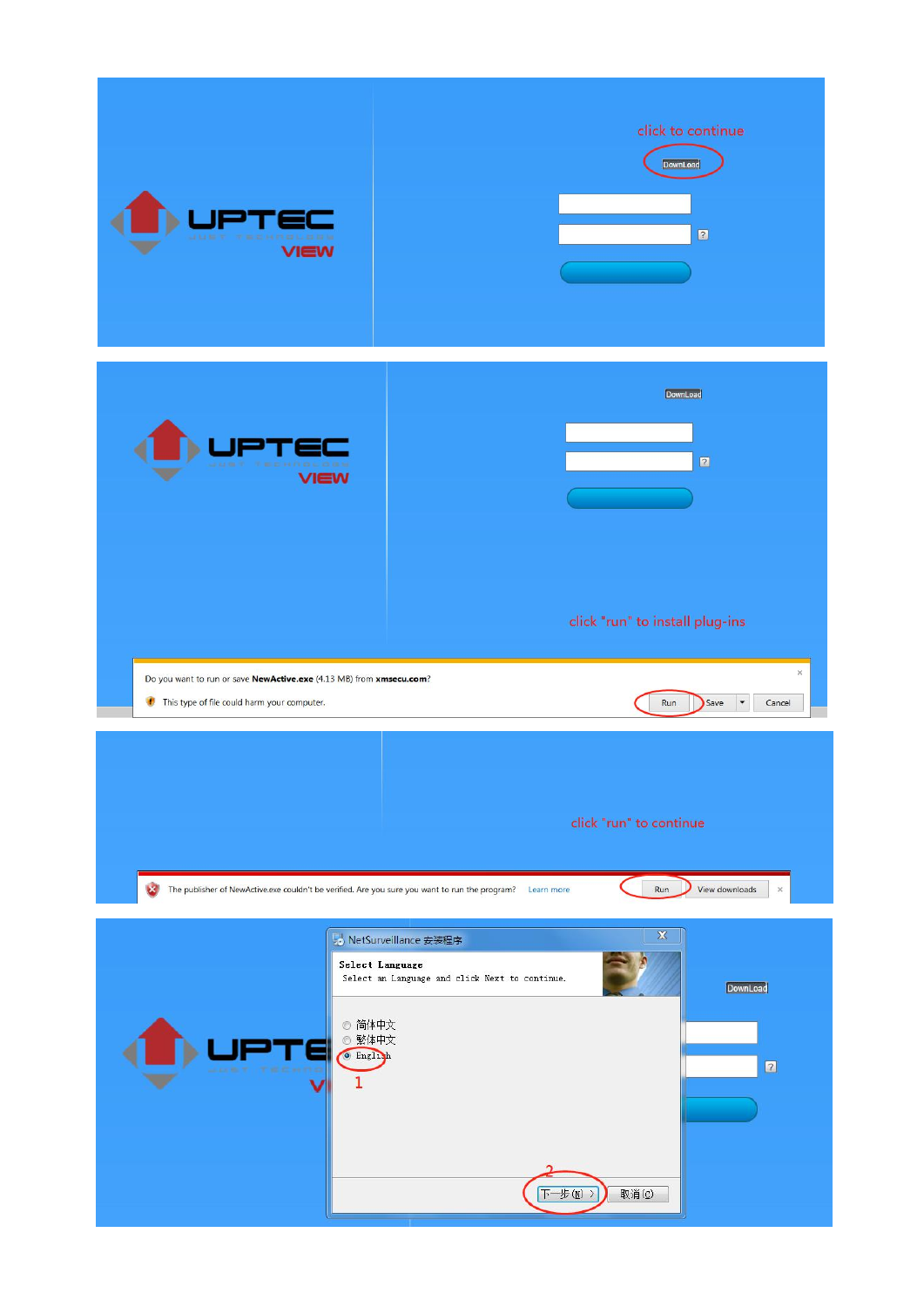| view                                                                                                                  | click to continue<br><b>DownLoad</b><br>$\boxed{2}$                                                                                                         |
|-----------------------------------------------------------------------------------------------------------------------|-------------------------------------------------------------------------------------------------------------------------------------------------------------|
| <b>CONTROL</b><br>VIEW                                                                                                | DownLoad<br>$\boxed{2}$                                                                                                                                     |
| Do you want to run or save NewActive.exe (4.13 MB) from xmsecu.com?<br>This type of file could harm your computer.    | click "run" to install plug-ins<br>$\rm X$<br>Run<br>Save<br>$\overline{\phantom{a}}$<br>Cancel                                                             |
| $\infty$<br>The publisher of NewActive.exe couldn't be verified. Are you sure you want to run the program? Learn more | click "run" to continue<br>View downloads<br>Run<br>$\times$                                                                                                |
| ◎ 简体中文<br>◎ 繁体中文<br><sup>O</sup> English<br>1                                                                         | $\mathbf{Z}$<br>b NetSurveillance 安装程序<br>Select Language<br>Select an Language and click Next to continue.<br>DownLoad<br>$\boxed{2}$<br>下一步(M) ><br>取消(C) |